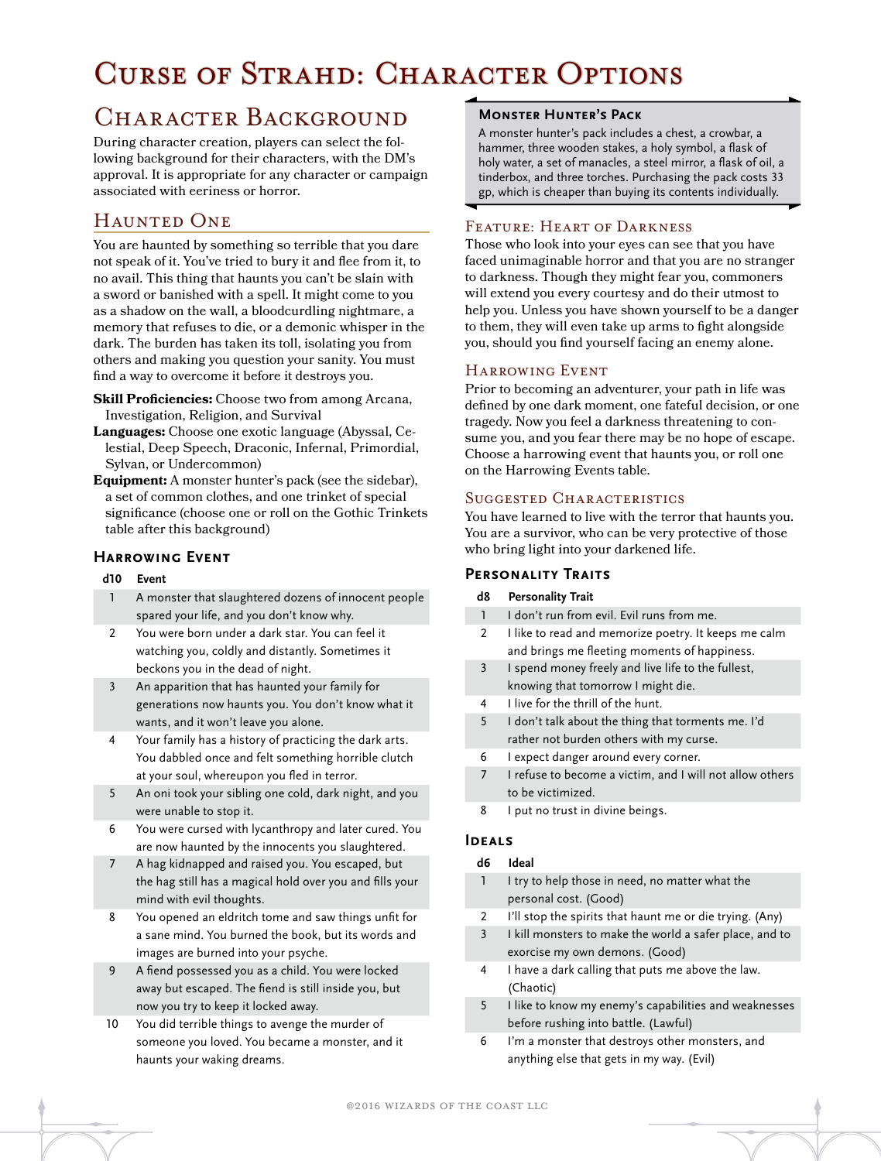# Curse of Strahd: Character Options

## CHARACTER BACKGROUND

During character creation, players can select the following background for their characters, with the DM's approval. It is appropriate for any character or campaign associated with eeriness or horror.

### Haunted One

You are haunted by something so terrible that you dare not speak of it. You've tried to bury it and flee from it, to no avail. This thing that haunts you can't be slain with a sword or banished with a spell. It might come to you as a shadow on the wall, a bloodcurdling nightmare, a memory that refuses to die, or a demonic whisper in the dark. The burden has taken its toll, isolating you from others and making you question your sanity. You must find a way to overcome it before it destroys you.

- **Skill Proficiencies:** Choose two from among Arcana, Investigation, Religion, and Survival
- **Languages:** Choose one exotic language (Abyssal, Celestial, Deep Speech, Draconic, Infernal, Primordial, Sylvan, or Undercommon)
- **Equipment:** A monster hunter's pack (see the sidebar), a set of common clothes, and one trinket of special significance (choose one or roll on the Gothic Trinkets table after this background)

#### **Harrowing Event**

#### **d10 Event**

- 1 A monster that slaughtered dozens of innocent people spared your life, and you don't know why.
- 2 You were born under a dark star. You can feel it watching you, coldly and distantly. Sometimes it beckons you in the dead of night.
- 3 An apparition that has haunted your family for generations now haunts you. You don't know what it wants, and it won't leave you alone.
- 4 Your family has a history of practicing the dark arts. You dabbled once and felt something horrible clutch at your soul, whereupon you fled in terror.
- 5 An oni took your sibling one cold, dark night, and you were unable to stop it.
- 6 You were cursed with lycanthropy and later cured. You are now haunted by the innocents you slaughtered.
- 7 A hag kidnapped and raised you. You escaped, but the hag still has a magical hold over you and fills your mind with evil thoughts.
- 8 You opened an eldritch tome and saw things unfit for a sane mind. You burned the book, but its words and images are burned into your psyche.
- 9 A fiend possessed you as a child. You were locked away but escaped. The fiend is still inside you, but now you try to keep it locked away.
- 10 You did terrible things to avenge the murder of someone you loved. You became a monster, and it haunts your waking dreams.

#### **Monster Hunter's Pack**

A monster hunter's pack includes a chest, a crowbar, a hammer, three wooden stakes, a holy symbol, a flask of holy water, a set of manacles, a steel mirror, a flask of oil, a tinderbox, and three torches. Purchasing the pack costs 33 gp, which is cheaper than buying its contents individually.

#### Feature: Heart of Darkness

Those who look into your eyes can see that you have faced unimaginable horror and that you are no stranger to darkness. Though they might fear you, commoners will extend you every courtesy and do their utmost to help you. Unless you have shown yourself to be a danger to them, they will even take up arms to fight alongside you, should you find yourself facing an enemy alone.

#### Harrowing Event

Prior to becoming an adventurer, your path in life was defined by one dark moment, one fateful decision, or one tragedy. Now you feel a darkness threatening to consume you, and you fear there may be no hope of escape. Choose a harrowing event that haunts you, or roll one on the Harrowing Events table.

#### SUGGESTED CHARACTERISTICS

You have learned to live with the terror that haunts you. You are a survivor, who can be very protective of those who bring light into your darkened life.

#### **Personality Traits**

- **d8 Personality Trait**
- 1 I don't run from evil. Evil runs from me.
	- 2 I like to read and memorize poetry. It keeps me calm and brings me fleeting moments of happiness.
- 3 I spend money freely and live life to the fullest, knowing that tomorrow I might die.
- 4 I live for the thrill of the hunt.
- 5 I don't talk about the thing that torments me. I'd rather not burden others with my curse.
- 6 I expect danger around every corner.
- 7 I refuse to become a victim, and I will not allow others to be victimized.
- 8 I put no trust in divine beings.

#### **Ideals**

#### **d6 Ideal**

- 1 I try to help those in need, no matter what the personal cost. (Good)
- 2 I'll stop the spirits that haunt me or die trying. (Any)
- 3 I kill monsters to make the world a safer place, and to exorcise my own demons. (Good)
- 4 I have a dark calling that puts me above the law. (Chaotic)
- 5 I like to know my enemy's capabilities and weaknesses before rushing into battle. (Lawful)
- 6 I'm a monster that destroys other monsters, and anything else that gets in my way. (Evil)